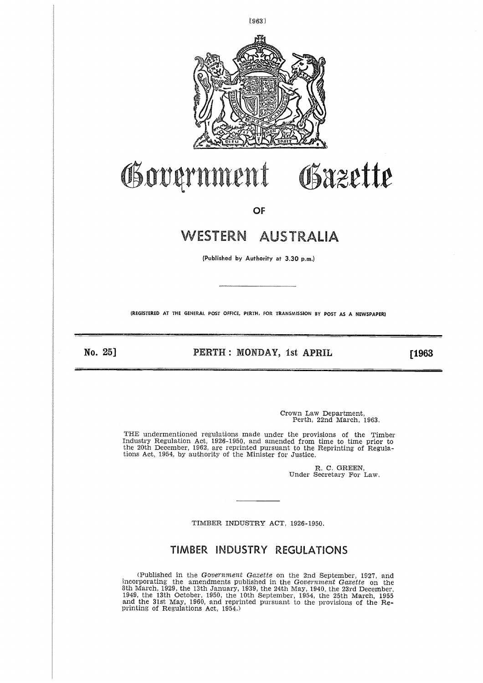

# Government Gazette

**OF**

## WESTERN AUSTRALIA

**(Published** by **Authority at 3.30 p.m.)**

**(REGISTERED AT THE GENERAL POST OFFICE, PERTH, FOR TRANSMISSION BY POST AS A NEWSPAPER)**

No. 25] PERTH : MONDAY, 1st APRIL **[1963**

Crown Law Department, Perth, 22nd March, 1963.

THE undermentioned regulations made under the provisions of the Timber Industry Regulation Act, 1926-1950, and amended from time to time prior to the 20th December, 1962, are reprinted pursuant to the Reprinting of Regula-tions Act, 1954, by authority of the Minister for Justice.

> R. C. GREEN, Under Secretary For Law.

TIMBER INDUSTRY ACT, 1926-1950.

### **TIMBER INDUSTRY REGULATIONS**

(Published in the *Government Gazette* on the 2nd September, 1927, and incorporating the amendments published in the *Government Gazette* on the 8th March, 1929, the 13th January, 1939, the 24th May, 1940, the 23rd December, 1949, the 13th October, 1950, the 10th September, 1954, the 25th March, 1955 and the 31st May, 1960, and reprinted pursuant to the provisions of the Re-printing of Regulations Act, 1954.)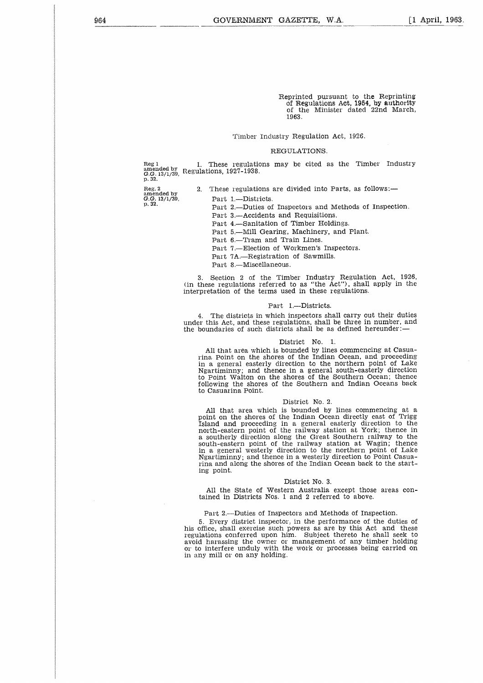Reprinted pursuant to the Reprinting of Regulations Act, 1954, by authority of the Minister dated 22nd March, 1963.

#### Timber Industry Regulation Act, 1926.

#### REGULATIONS.

Reg 1 amended by *G.G.* 13/1/39, p.32. These regulations may be cited as the Timber Industry Regulations, 1927-1938.

Reg. 2 amended by *G.G.* 13/1/39, p. 32.

2. These regulations are divided into Parts, as follows:

Part 1.—Districts.

Part 2.—Duties of Inspectors and Methods of Inspection.

Part 3.—Accidents and Requisitions.

Part 4.—Sanitation of Timber Holdings.

Part 5.—Mill Gearing, Machinery, and Plant.

Part 6.—Tram and Train Lines.

Part 7.—Election of Workmen's Inspectors.

Part 7A.—Registration of Sawmills.

Part 8.—Miscellaneous.

3. Section 2 of the Timber Industry Regulation Act, 1926, (in these regulations referred to as "the Act"), shall apply in the interpretation of the terms used in these regulations.

#### Part 1.—Districts.

4. The districts in which inspectors shall carry out their duties under this Act, and these regulations, shall be three in number, and the boundaries of such districts shall be as defined hereunder:—

#### District No. 1.

All that area which is bounded by lines commencing at Casuarina Point on the shores of the Indian Ocean, and proceeding in a general easterly direction to the northern point of Lake Ngartiminny; and thence in a general south-easterly direction to Point Walton on the shores of the Southern Ocean; thence following the shores of the Southern and Indian Oceans back to Casuarina Point.

#### District No. 2.

All that area which is bounded by lines commencing at a point on the shores of the Indian Ocean directly east of Trigg Island and proceeding in a general easterly direction to the north-eastern point of the railway station at York; thence in a southerly direction along the Great Southern railway to the south-eastern point of the railway station at Wagin; thence in a general westerly direction to the northern point of Lake Ngartiminny; and thence in a westerly direction to Point Casuarina and along the shores of the Indian Ocean back to the starting point.

#### District No. 3.

All the State of Western Australia except those areas contained in Districts Nos. 1 and 2 referred to above.

#### Part 2.—Duties of Inspectors and Methods of Inspection.

5. Every district inspector, in the performance of the duties of his office, shall exercise such powers as are by this Act and these regulations conferred upon him. Subject thereto he shall seek to avoid harassing the owner or management of any timber holding or to interfere unduly with the work or processes being carried on in any mill or on any holding.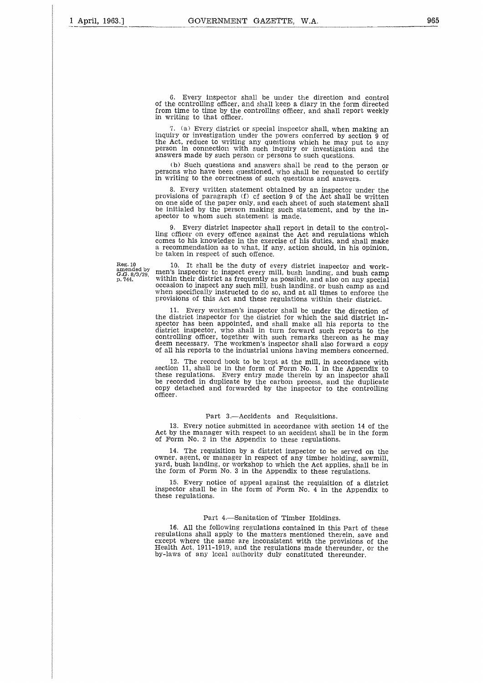6. Every inspector shall be under the direction and control of the controlling officer, and shall keep a diary in the form directed from time to time by the controlling officer, and shall report weekly in writing to that officer.

7. (a) Every district or special inspector shall, when making an inquiry or investigation under the powers conferred by section 9 of the Act, reduce to writing any questions which he may put to any person in connection with such inquiry or investigation and the answers made by such person or persons to such questions.

(b) Such questions and answers shall be read to the person or persons who have been questioned, who shall be requested to certify in writing to the correctness of such questions and answers.

8. Every written statement obtained by an inspector under the provisions of paragraph (f) of section 9 of the Act shall be written<br>on one side of the paper only, and each sheet of such statement shall be initialed by the person making such statement, and by the inspector to whom such statement is made.

9. Every district inspector shall report in detail to the controlling officer on every offence against the Act and regulations which comes to his knowledge in the exercise of his duties, and shall make a recommendation as to what, if any, action should, in his opinion, be taken in respect of such offence.

Reg. 10 amended by *G.G.* 8/3/29, P. 744.

10. It shall be the duty f every district inspector and work-men's inspector to inspect every mill, bush landing, and bush camp within their district as frequently as possible, and also on any special occasion to inspect any such mill, bush landing, or bush camp as and when specifically instructed to do so, and at all times to enforce the provisions of this Act and these regulations within their district.

11. Every workmen's inspector shall be under the direction of the district inspector for the district for which the said district in-spector has been appointed, and shall make all his reports to the district inspector, who shall in turn forward such reports to the controlling officer, together with such remarks thereon as he may deem necessary. The workmen's inspector shall also forward a copy of all his reports to the industrial unions having members concerned.

12. The record book to be kept at the mill, in accordance with section 11, shall be in the form of Form No. 1 in the Appendix to these regulations. Every entry made therein by an inspector shall be recorded in duplicate by the carbon process, and the duplicate copy detached and forwarded by the inspector to the controlling officer.

#### Part 3.—Accidents and Requisitions.

13. Every notice submitted in accordance with section 14 of the Act by the manager with respect to an accident shall be in the form of Form No. 2 in the Appendix to these regulations.

14. The requisition by a district inspector to be served on the owner, agent, or manager in respect of any timber holding, sawmill, yard, bush landing, or workshop to which the Act applies, shall be in the form of Form No. 3 in the Appendix to these regulations.

15. Every notice of appeal against the requisition of a district inspector shall be in the form of Form No. 4 in the Appendix to these regulations.

#### Part 4.—Sanitation of Timber Holdings.

16. All the following regulations contained in this Part of these regulations shall apply to the matters mentioned therein, save and except where the same are inconsistent with the provisions of the Health Act, 1911-1919, and the regulations made thereunder, or the by-laws of any local authority duly constituted thereunder.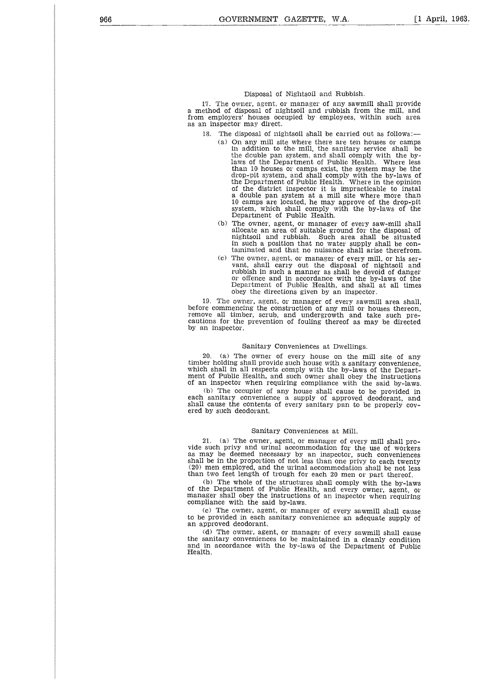#### Disposal of Nightsoil and Rubbish.

17. The owner, agent, or manager of any sawmill shall provide a method of disposal of nightsoil and rubbish from the mill, and from employers' houses occupied by employees, within such area as an inspector may direct.

- 18. The disposal of nightsoil shall be carried out as follows:
	- (a) On any mill site where there are ten houses or camps in addition to the mill, the sanitary service shall be the double pan system, and shall comply with the bylaws of the Department of Public Health. Where less than 10 houses or camps exist, the system may be the drop-pit system, and shall comply with the by-laws of the Department of Public Health. Where in the opinion of the district inspector it is impracticable to instal a double pan system at a mill site where more than 10 camps are located, he may approve of the drop-pit system, which shall comply with the by-laws of the Department of Public Health.
	- (b) The owner, agent, or manager of every saw-mill shall allocate an area of suitable ground for the disposal of nightsoil and rubbish. Such area shall be situated in such a position that no water supply shall be contaminated and that no nuisance shall arise therefrom.
	- (c) The owner, agent, or manager of every mill, or his servant, shall carry out the disposal of nightsoil and rubbish in such a manner as shall be devoid of danger or offence and in accordance with the by-laws of the<br>Department of Public Health, and shall at all times obey the directions given by an inspector.

19. The owner, agent, or manager of every sawmill area shall, before commencing the construction of any mill or houses thereon, remove all timber, scrub, and undergrowth and take such precautions for the prevention of fouling thereof as may be directed by an inspector.

#### Sanitary Conveniences at Dwellings.

20. (a) The owner f every house on the mill site of any timber holding shall provide such house with a sanitary convenience, which shall in all respects comply with the by-laws of the Department of Public Health, and such owner shall obey the instructions of an inspector when requiring compliance with the said by-laws.

(b) The occupier of any house shall cause to be provided in each sanitary convenience a supply of approved deodorant, and shall cause the contents of every sanitary pan to be properly covered by such deodorant.

#### Sanitary Conveniences at Mill..

21. (a) The owner, agent, or manager of every mill shall provide such privy and urinal accommodation for the use of workers as may be deemed necessary by an inspector, such conveniences shall be in the proportion of not less than one privy to each twenty (20) men employed, and the urinal accommodation shall be not less than two feet length of trough for each 20 men or part thereof.

(b) The whole of the structures shall comply with the by-laws of the Department of Public Health, and every owner, agent, or manager shall obey the instructions of an inspector when requiring compliance with the said by-laws.

(c) The owner, agent, or manager of every sawmill shall cause to be provided in each sanitary convenience an adequate supply of an approved deodorant.

(d) The owner, agent, or manager of every sawmill shall cause the sanitary conveniences to be maintained in a cleanly condition and in accordance with the by-laws of the Department of Public Health.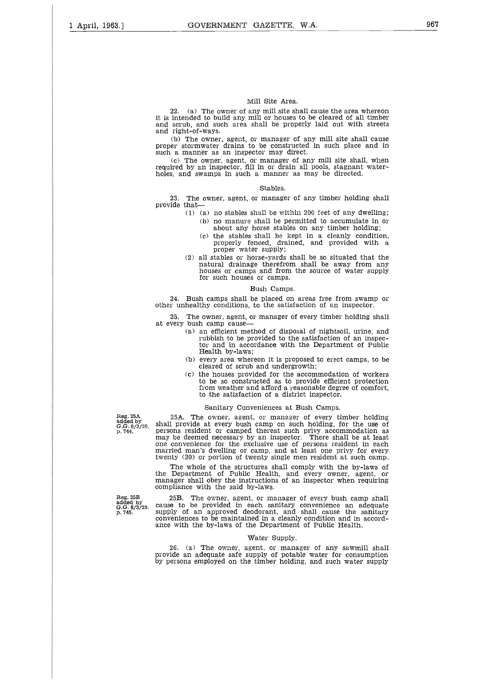#### Mill Site Area.

22. (a) The owner of any mill site shall cause the area whereon it is intended to build any mill or houses to be cleared of all timber and scrub, and such area shall be properly laid out with streets and right-of-ways.

(b) The owner, agent, or manager of any mill site shall cause proper stormwater drains to be constructed in such place and in such a manner as an inspector may direct.

(c) The owner, agent, or manager of any mill site shall, when required by an inspector, fill in or drain all pools, stagnant waterholes, and swamps in such a manner as may be directed.

#### Stables.

23. The owner, agent, or manager of any timber holding shall provide that

- (1) (a) no stables shall be within 200 feet of any dwelling; (b) no manure shall be permitted to accumulate in or about any horse stables on any timber holding;
	- (c) the stables shall be kept in a cleanly condition, properly fenced, drained, and provided with a proper water supply;
- (2) all stables or horse-yards shall be so situated that the natural drainage therefrom shall be away from any houses or camps and from the source of water supply for such houses or camps.

#### Bush Camps.

24. Bush camps shall be placed on areas free from swamp or other unhealthy conditions, to the satisfaction f an inspector.

The owner, agent, or manager of every timber holding shall at every bush camp cause

- (a) an efficient method of disposal of nightsoil, urine, and rubbish to be provided to the satisfaction of an inspec-tor and in accordance with the Department of Public Health by-laws;
- (b) every area whereon it is proposed to erect camps, to be cleared of scrub and undergrowth;
- (c) the houses provided for the accommodation of workers to be so constructed as to provide efficient protection from weather and afford a reasonable degree of comfort, to the satisfaction of a district inspector.

#### Sanitary Conveniences at Bush Camps.

25A. The owner, agent, or manager of every timber holding shall provide at every bush camp on such holding, for the use of persons resident or camped thereat such privy accommodation as may be deemed necessary by an inspector. There shall be at least one convenience for the exclusive use of persons resident in each married man's dwelling or camp, and at least one privy for every twenty (20) or portion of twenty single men resident at such camp.

The whole of the structures shall comply with the by-laws of the Department of Public Health, and every owner, agent, or manager shall obey the instructions of an inspector when requiring compliance with the said by-laws.

25B. The owner, agent, or manager of every bush camp shall cause to be provided in each sanitary convenience an adequate supply of an approved deodorant, and shall cause the sanitary conveniences to be maintained in a cleanly condition and in accordance with the by-laws of the Department of Public Health.

#### Water Supply.

26. (a) The owner, agent, or manager of any sawmill shall provide an adequate safe supply of potable water for consumption by persons employed on the timber holding, and such water supply

Reg. 25A added by G.G. 8/3/29, p. 744.

Reg. 25B added by *G.G.* 8/3/29, p. 745.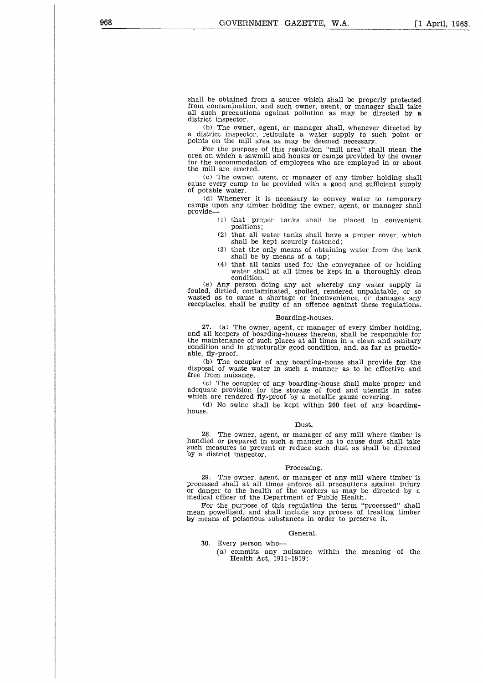shall be obtained from a source which shall be properly protected from contamination, and such owner, agent, or manager shall take all such precautions against pollution as may be directed by a district inspector.

(b) The owner, agent, or manager shall, whenever directed by district inspector, reticulate a water supply to such point or points on the mill area as may be deemed necessary.

For the purpose of this regulation "mill area" shall mean the area on which a sawmill and houses or camps provided by the owner for the accommodation of employees who are employed in or about the mill are erected.

(c) The owner, agent, or manager of any timber holding shall cause every camp to be provided with a good and sufficient supply of potable water.

(d) Whenever it is necessary to convey water to temporary camps upon any timber holding the owner, agent, or manager shall provide

(1) that proper tanks shall be placed in convenient positions;

- (2) that all water tanks shall have a proper cover, which shall be kept securely fastened;
- (3) that the only means of obtaining water from the tank shall be by means of a tap;
- (4) that all tanks used for the conveyance of or holding water shall at all times be kept in a thoroughly clean condition.

(e) Any person doing any act whereby any water supply is fouled, dirtied, contaminated, spoiled, rendered unpalatable, or so wasted as to cause a shortage or inconvenience, or damages any receptacles, shall be guilty of an offence against these regulations.

#### Boarding-houses.

27. (a) The owner, agent, or manager of every timber holding, and all keepers of boarding-houses thereon, shall be responsible for the maintenance of such places at all times in a clean and sanitary condition and in structurally good condition, and, as far as practicable, fly-proof.

(b) The occupier of any boarding-house shall provide for the disposal of waste water in such a manner as to be effective and free from nuisance.

(c) The occupier of any boarding-house shall make proper and adequate provision for the storage of food and utensils in safes which are rendered fly-proof by a metallic gauze covering.

(d) No swine shall be kept within 200 feet of any boardinghouse.

#### Dust.

28. The owner, agent, or manager of any mill where timber is handled or prepared in such a manner as to cause dust shall take such measures to prevent or reduce such dust as shall be directed by a district inspector.

#### Processing.

29. The owner, agent, or manager of any mill where timber is processed shall at all times enforce all precautions against injury or danger to the health of the workers as may be directed by a medical officer of the Department of Public Health.

For the purpose of this regulation the term "processed" shall mean powellised, and shall include any process of treating timber by means of poisonous substances in order to preserve it.

#### General.

- 30. Every person who-
	- (a) commits any nuisance within the meaning of the Health Act, 1911-1919;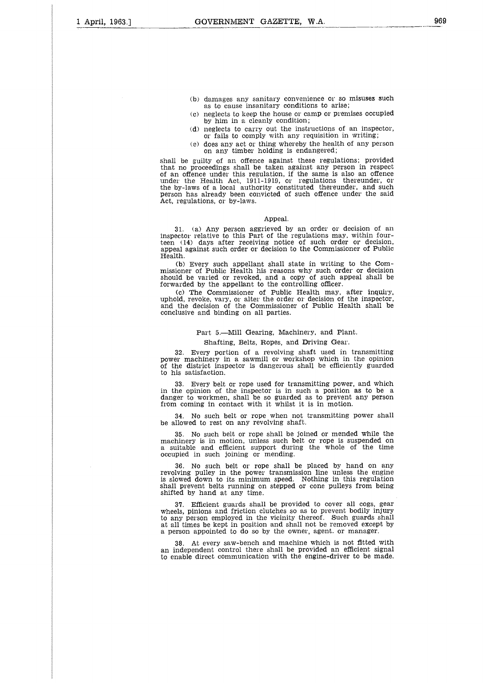- (b) damages any sanitary convenience or so misuses such as to cause insanitary conditions to arise;
- (c) neglects to keep the house or camp or premises occupied by him in a cleanly condition;
- (d) neglects to carry out the instructions of an inspector, or fails to comply with any requisition in writing;
- (e) does any act or thing whereby the health of any person on any timber holding is endangered;

shall be guilty of an offence against these regulations; provided that no proceedings shall be taken against any person in respect of an offence under this regulation, if the same is also an offence under the Health Act, 1911-1919, or regulations thereunder, or the by-laws of a local authority constituted thereunder, and such person has already been convicted of such offence under the said Act, regulations, or by-laws.

#### Appeal.

31. (a) Any person aggrieved by an order or decision of an inspector relative to this Part of the regulations may, within four-<br>teen (14) days after receiving notice of such order or decision, appeal against such order or decision to the Commissioner of Public Health.

(b) Every such appellant shall state in writing to the Commissioner of Public Health his reasons why such order or decision should be varied or revoked, and a copy of such appeal shall be forwarded by the appellant to the controlling officer.

(c) The Commissioner of Public Health may, after inquiry, uphold, revoke, vary, or alter the order or decision of the inspector<br>and the decision of the Commissioner of Public Health shall be conclusive and binding on all parties.

#### Part 5.—Mill Gearing, Machinery, and Plant.

#### Shafting, Belts, Ropes, and Driving Gear.

32. Every portion of a revolving shaft used in transmitting power machinery in a sawmill or workshop which in the opinion of the district inspector is dangerous shall be efficiently guarded to his satisfaction.

33. Every belt or rope used for transmitting power, and which in the opinion of the inspector is in such a position as to be a danger to workmen, shall be so guarded as to prevent any person from coming in contact with it whilst it is in motion.

34. No such belt or rope when not transmitting power shall be allowed to rest on any revolving shaft.

35. No such belt or rope shall be joined or mended while the machinery is in motion, unless such belt or rope is suspended on a suitable and efficient support during the whole of the time occupied in such joining or mending.

36. No such belt or rope shall be placed by hand on any revolving pulley in the power transmission line unless the engine is slowed down to its minimum speed. Nothing in this regulation shall prevent belts running on stepped or cone pulleys from being shifted by hand at any time.

37. Efficient guards shall be provided to cover all cogs, gear wheels, pinions and friction clutches so as to prevent bodily injury to any person employed in the vicinity thereof. Such guards shall at all times be kept in position and shall not be removed except by a person appointed to do so by the owner, agent. or manager.

At every saw-bench and machine which is not fitted with an independent control there shall be provided an efficient signal to enable direct communication with the engine-driver to be made.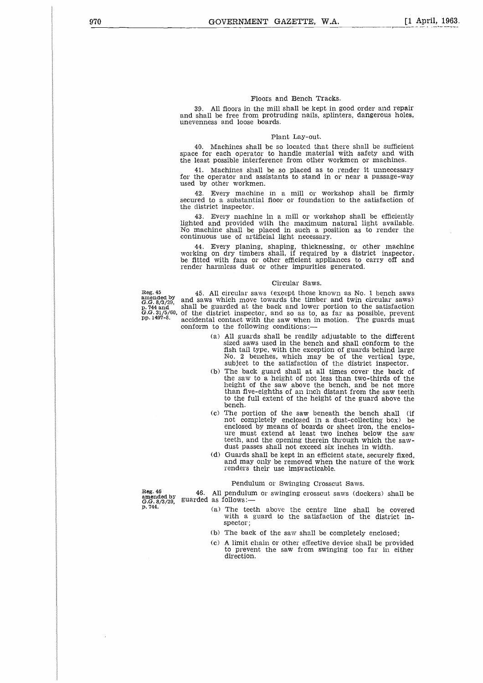#### Floors and Bench Tracks.

39. All floors in the mill shall be kept in good order and repair and shall be free from protruding nails, splinters, dangerous holes, unevenness and loose boards.

#### Plant Lay-out.

40. Machines shall be so located that there shall be sufficient space for each operator to handle material with safety and with the least possible interference from other workmen or machines.

41. Machines shall be so placed as to render it unnecessary for the operator and assistants to stand in or near a passage-way used by other workmen.

42. Every machine in a mill or workshop shall be firmly secured to a substantial floor or foundation to the satisfaction of the district inspector.

43. Every machine in a mill or workshop shall be efficiently lighted and provided with the maximum natural light available. No machine shall be placed in such a position as to render the continuous use of artificial light necessary.

44. Every planing, shaping, thicknessing, or other machine working on dry timbers shall, if required by a district inspector, be fitted with fans or other efficient appliances to carry off and render harmless dust or other impurities generated.

#### Circular Saws.

Reg. 45 amended by *G.G.* 8/3/29, p. 744 and *G.G.* 31/5/60, pp. 1497-8.

45. All circular saws (except those known as No. 1 bench saws and saws which move towards the timber and twin circular saws) shall be guarded at the back and lower portion to the satisfaction f the district inspector, and so as to, as far as possible, prevent accidental contact with the saw when in motion. The guards must conform to the following conditions:

- (a) All guards shall be readily adjustable to the different sized saws used in the bench and shall conform to the fish tail type, with the exception of guards behind large No. 2 benches, which may be of the vertical type, subject to the satisfaction of the district inspector.
- (b) The back guard shall at all times cover the back of the saw to a height of not less than two-thirds of the height of the saw above the bench, and be not more than five-eighths of an inch distant from the saw teeth to the full extent of the height of the guard above the bench.
- (c) The portion of the saw beneath the bench shall (if not completely enclosed in a dust-collecting box) be enclosed by means of boards or sheet iron, the enclos-ure must extend at least two inches below the saw teeth, and the opening therein through which the sawdust passes shall not exceed six inches in width.
- (d) Guards shall be kept in an efficient state, securely fixed, and may only be removed when the nature of the work renders their use impracticable.

#### Pendulum or Swinging Crosscut Saws.

Reg. 46 amended by *G.G.* 8/3/29, p. 744. guarded as follows: All pendulum or swinging crosscut saws (dockers) shall be

- (a) The teeth above the centre line shall be covered with a guard to the satisfaction of the district inspector:
- (b) The back of the saw shall be completely enclosed;
- (c) A limit chain or other effective device shall be provided to prevent the saw from swinging too far in either direction.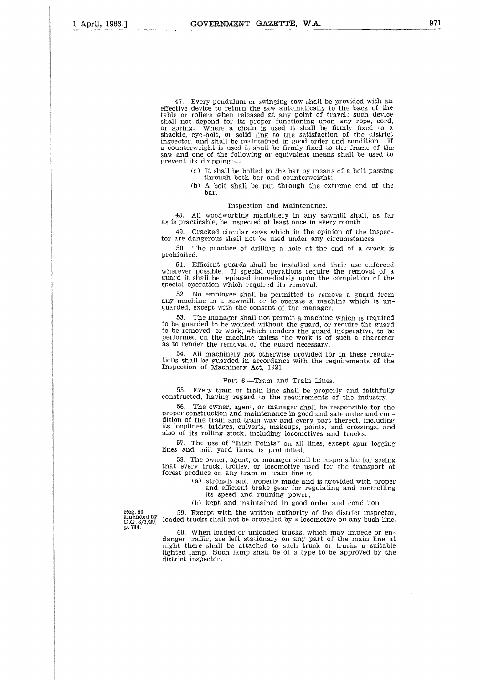47. Every pendulum or swinging saw shall be provided with an effective device to return the saw automatically to the back of the table or rollers when released at any point of travel; such device shall not depend for its proper functioning upon any rope, cord, or spring. Where a chain is used it shall be firmly fixed to a shackle, eye-bolt, or solid link to the satisfaction of the district inspector, and shall be maintained in good order and condition. If a counterweight is used it shall be firmly fixed to the frame of the saw and one of the following or equivalent means shall be used to prevent its dropping:

- (a) It shall be bolted to the bar by means of a bolt passing through both bar and counterweight;
- (b) A bolt shall be put through the extreme end of the bar.

#### Inspection and Maintenance.

48. All woodworking machinery in any sawmill shall, as far as is practicable, be inspected at least once in every month.

49. Cracked circular saws which in the opinion of the inspector are dangerous shall not be used under any circumstances.

50. The practice of drilling a hole at the end of a crack is prohibited.

51. Efficient guards shall be installed and their use enforced wherever possible. If special operations require the removal of a guard it shall be replaced immediately upon the completion of the special operation which required its removal.

52. No employee shall be permitted to remove a guard from any machine in a sawmill, or to operate a machine which is unguarded, except with the consent of the manager.

53. The manager shall not permit a machine which is required to be guarded to be worked without the guard, or require the guard to be removed, or work, which renders the guard inoperative, to be performed on the machine unless the work is of such a character as to render the removal of the guard necessary.

54. All machinery not otherwise provided for in these regulations shall be guarded in accordance with the requirements of the<br>Inspection of Machinery Act, 1921.

#### Part 6.—Tram and Train Lines.

55. Every train or train line shall be properly and faithfully constructed, having regard to the requirements of the industry.

56. The owner, agent, or manager shall be responsible for the proper construction and maintenance in good and safe order and condition of the tram and train way and every part thereof, including<br>its looplines, bridges, culverts, makeups, points, and crossings, and also of its rolling stock, including locomotives and trucks.

57. The use of "Irish Points" on all lines, except spur logging lines and mill yard lines, is prohibited.

58. The owner, agent, or manager shall be responsible for seeing that every truck, trolley, or locomotive used for the transport of forest produce on any tram or train line is

- (a) strongly and properly made and is provided with proper and efficient brake gear for regulating and controlling its speed and running power;
- (b) kept and maintained in good order and condition.

59. Except with the written authority of the district inspector, loaded trucks shall not be propelled by a locomotive on any bush line.

60. When loaded or unloaded trucks, which may impede or en-danger traffic, are left stationary on any part of the main line at night there shall be attached to such truck or trucks a suitable lighted lamp. Such lamp shall be of a type to be approved by the district inspector.

Reg. 59 amended by G.G. 8/3/29, p. 744.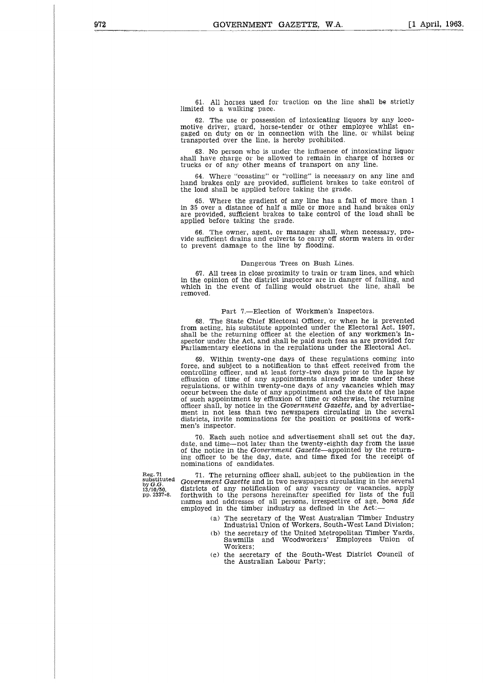61. All horses used for traction on the line shall be strictly limited to a walking pace.

62. The use or possession of intoxicating liquors by any locomotive driver, guard, horse-tender or other employee whilst engaged on duty on or in connection with the line, or whilst being transported over the line, is hereby prohibited.

63. No person who is under the influence of intoxicating liquor shall have charge or be allowed to remain in charge of horses or trucks or f any other means f transport on any line.

64. Where "coasting" or "rolling" is necessary on any line and hand brakes only are provided, sufficient brakes to take control of the load shall be applied before taking the grade.

65. Where the gradient of any line has a fall of more than 1 in 35 over a distance of half a mile or more and hand brakes only are provided, sufficient brakes to take control of the load shall be applied before taking the grade.

The owner, agent, or manager shall, when necessary, provide sufficient drains and culverts to carry off storm waters in order to prevent damage to the line by flooding.

#### Dangerous Trees on Bush Lines.

67. All trees in close proximity to train or tram lines, and which in the opinion of the district inspector are in danger of falling, and which in the event of falling would obstruct the line, shall be removed.

#### Part 7.-Election of Workmen's Inspectors.

68. The State Chief Electoral Officer, or when he is prevented from acting, his substitute appointed under the Electoral Act, 1907, shall be the returning officer at the election of any workmen's inspector under the Act, and shall be paid such fees as are provided for Parliamentary elections in the regulations under the Electoral Act.

69. Within twenty-one days of these regulations coming into force, and subject to a notification to that effect received from the controlling officer, and at least forty-two days prior to the lapse by effluxion of time of any appointments already made under these regulations, or within twenty-one days of any vacancies which may occur between the date of any appointment and the date of the lapse of such appointment by effiuxion of time or otherwise, the returning officer shall, by notice in the *Government Gazette,* and by advertisement in not less than two newspapers circulating in the several districts, invite nominations for the position or positions of workmen's inspector.

70. Each such notice and advertisement shall set out the day, date, and time—not later than the twenty-eighth day from the issue of the notice in the *Government* Gazette—appointed by the returning officer to be the day, date, and time fixed for the receipt of nominations of candidates.

Reg. 71<br>substituted<br>by *G.G.*<br>13/10/50,<br>pp. 2337-8.

71. The returning officer shall, subject to the publication in the *Government Gazette* and in two newspapers circulating in the several<br>districts of any notification of any vacancy or vacancies, apply forthwith to the persons hereinafter specified for lists of the full names and addresses of all persons, irrespective of age, bona *fide* employed in the timber industry as defined in the Act:

- (a) The secretary of the West Australian Timber Industry Industrial Union of Workers, South-West Land Division;
- (b) the secretary of the United Metropolitan Timber Yards,<br>Sawmills and Woodworkers' Employees Union of and Woodworkers' Employees Union of Workers;
- (c) the secretary of the South-West District Council of the Australian Labour Party;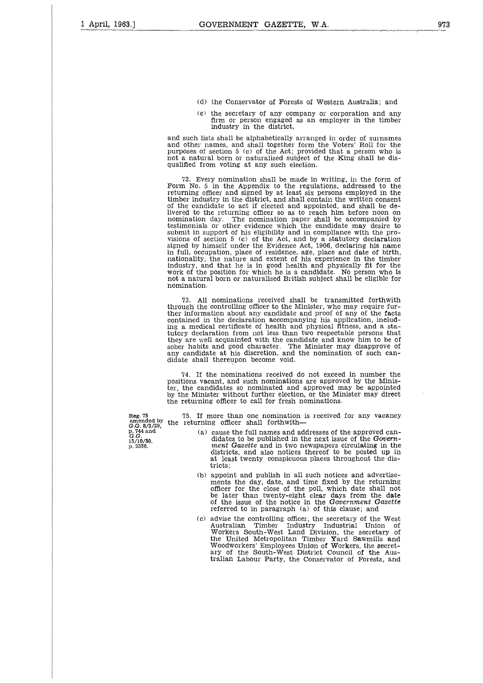- (d) the Conservator of Forests of Western Australia; and
- (e) the secretary of any company or corporation and any firm or person engaged as an employer in the timber industry in the district,

and such lists shall be alphabetically arranged in order of surnames and other names, and shall together form the Voters' Roll for the purposes of section 5 (c) of the Act; provided that a person who is not a natural born or naturalised subject of the King shall be disqualified from voting at any such election.

72. Every nomination shall be made in writing, in the form of Form No. 5 in the Appendix to the regulations, addressed to the returning officer and signed by at least six persons employed in the timber industry in the district, and shall contain the written consent of the candidate to act if elected and appointed, and shall be delivered to the returning officer so as to reach him before noon on nomination day. The nomination paper shall be accompanied by testimonials or other evidence which the candidate may desire to submit in support of his eligibility and in compliance with the provisions of section 5 (c) of the Act, and by a statutory declaration signed by himself under the Evidence Act, 1906, declaring his name in full, occupation, place of residence, age, place and date of birth, nationality, the nature and extent of his experience in the timber industry, and that he is in good health and physically fit for the work of the position for which he is a candidate. No person who is not a natural born or naturalised British subject shall be eligible for nomination.

73. All nominations received shall be transmitted forthwith through the controlling officer to the Minister, who may require fur-ther information about any candidate and proof of any of the facts contained in the declaration accompanying his application, includ-ing a medical certificate f health and physical fitness, and a statutory declaration from not less than two respectable persons that they are well acquainted with the candidate and know him to be of sober habits and good character. The Minister may disapprove f any candidate at his discretion, and the nomination of such candidate shall thereupon become void.

74. If the nominations received do not exceed in number the positions vacant, and such nominations are approved by the Minister, the candidates so nominated and approved may be appointed by the Minister without further election, or the Minister may direct the returning officer to call for fresh nominations.

75. If more than one nomination is received for any vacancy the returning officer shall forthwith

- (a) cause the full names and addresses of the approved candidates to be published in the next issue of the Government *Gazette* and in two newspapers circulating in the districts, and also notices thereof to be posted up in at least twenty conspicuous places throughout the districts;
- (b) appoint and publish in all such notices and advertisements the day, date, and time fixed by the returning officer for the close of the poll, which date shall not be later than twenty-eight clear days from the date f the issue of the notice in the *Government Gazette* referred to in paragraph (a) of this clause; and
- (c) advise the controlling officer, the secretary of the West Australian Timber Industry Industrial Union of Workers South-West Land Division, the secretary of the United Metropolitan Timber Yard Sawmills and Woodworkers' Employees Union of Workers, the secret-ary of the South-West District Council of the Australian Labour Party, the Conservator of Forests, and

Reg. 75 amended by G.G. 8/3/29, p. 744 and *G.G.* 13/10/50, p. 2338.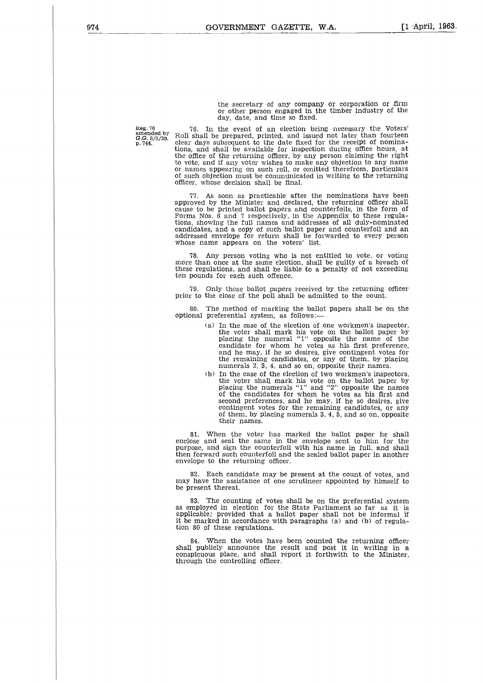the secretary of any company or corporation or firm or other person engaged in the timber industry of the day, date, and time so fixed.

Reg. 76 amended by *G.G.* 8/3/29, p. 744.

76. In the event of an election being necessary the Voters' Roll shall be prepared, printed, and issued not later than fourteen clear days subsequent to the date fixed for the receipt of nomina-tions, and shall be available for inspection during office hours, at the office of the returning officer, by any person claiming the right to vote, and if any voter wishes to make any objection to any name or names appearing on such roll, or omitted therefrom, particulars of such objection must be communicated in writing to the returning officer, whose decision shall be final.

As soon as practicable after the nominations have been approved by the Minister and declared, the returning officer shall cause to be printed ballot papers and counterfoils, in the form of Forms Nos. 6 and 7 respectively, in the Appendix to these regulations, showing the full names and addresses of all duly-nominated candidates, and a copy of such ballot paper and counterfoil and an addressed envelope for return shall be forwarded to every person whose name appears on the voters' list.

78. Any person voting who is not entitled to vote, or voting more than once at the same election, shall be guilty of a breach of these regulations, and shall be liable to a penalty of not exceeding ten pounds for each such offence.

79. Only those ballot papers received by the returning officer prior to the close of the poll shall be admitted to the count.

80. The method of marking the ballot papers shall be on the optional preferential system, as follows:

- $(a)$  In the case of the election of one workmen's inspector, the voter shall mark his vote on the ballot paper by placing the numeral "1" opposite the name of the candidate for whom he votes as his first preference, and he may, if he so desires, give contingent votes for the remaining candidates, or any of them, by placing numerals 2, 3, 4, and so on, opposite their names.
- $(b)$  In the case of the election of two workmen's inspectors, the voter shall mark his vote on the ballot paper by placing the numerals "1" and "2" opposite the names of the candidates for whom he votes as his first and second preferences, and he may, if he so desires, give contingent votes for the remaining candidates, or any of them, by placing numerals 3, 4, 5, and so on, opposite their names.

81. When the voter has marked the ballot paper he shall enclose and seal the same in the envelope sent to him for the purpose, and sign the counterfoil with his name in full, and shall then forward such counterfoil and the sealed ballot paper in another envelope to the returning officer.

82. Each candidate may be present at the count of votes, and may have the assistance of one scrutineer appointed by himself to be present thereat.

83. The counting of votes shall be on the preferential system as employed in election for the State Parliament so far as it is applicable; provided that a ballot paper shall not be informal if it be marked in accordance with paragraphs (a) and (b) of regulation 80 of these regulations.

84. When the votes have been counted the returning officer shall publicly announce the result and post it in writing in a conspicuous place, and shall report it forthwith to the Minister, through the controlling officer.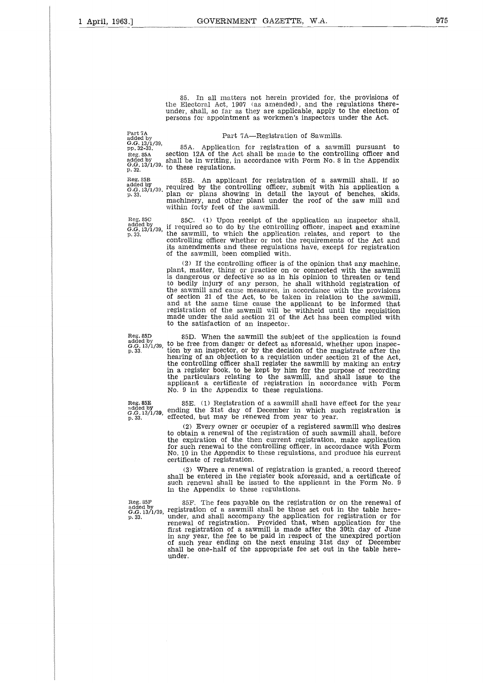85. In all matters not herein provided for, the provisions of the Electoral Act, 1907 (as amended), and the regulations thereunder, shall, so far as they are applicable, apply to the election of persons for appointment as workmen's inspectors under the Act. 85. In all matters not herein provided for, the Electoral Act, 1907 (as amended), and the redunder, shall, so far as they are applicable, apply the persons for appointment as workmen's inspectors up and  $4.64$  CH, 13/1/39

Part 7A *G.G.* 13/1/39,

Part 7A—Registration of Sawmills.

pp. 32-33. 85A. Application for registration of a sawmill pursuant to reg. 85A. section 12A of the Act shall be made to the controlling officer and added by  $G. G. 13/1/39$ , to these regulations.  $G. G. 32.32$ . 85. In all matters not herein provided for, the provisions of<br>the Electoral Act, 1907 (as amended), and the regulations there-<br>under, shall, so far as they are applicable, apply to the election of<br>persons for appointment a the Electoral Act, 1907 (as amended), and the regulations there-<br>
under, shall, so far as they are applicable, apply to the election of<br>
persons for appointment as workmen's inspectors under the Act.<br>
Part 7A<br>
Reg. 353. 85

added by<br>*G.G.* 13/1/39. required by the controlling officer, submit with his application a<br>p. 33. plan or plans showing in detail the layout of benches, skids machinery, and other plant under the roof of the saw mill and within forty feet of the sawmill. Reg. 85C. (1) Upon receipt of the application relationships and the state of the appendix of the appendix of the appendix of the appendix of the appendix of the sergentions.<br>
The state of the appendix of the sergentions o

Reg. 85C<br>added by<br>G.G. 13/1/39,<br>p. 33. *G.G.* 13/1/39, if required so to do by the controlling officer, inspect and examine aded by<br>
and the sammll be in writing, in accordance with Form No. 8 in the Appendix<br>  $P_{\text{G-G.}}(3,1)/39$ , to these regulations.<br>
Reg. 85B. An applicant for registration of a sawmill shall, if so<br>  $P_{\text{G-G.}}(3,1)/39$ , requi controlling officer whether or not the requirements of the Act and its amendments and these regulations have, except for registration of the sawmill, been complied with.

(2) If the controlling officer is of the opinion that any machine, plant, matter, thing or practice on or connected with the sawmill is dangerous or defective so as in his opinion to threaten or tend to bodily injury of any person, he shall withhold registration of the sawmill and cause measures, in accordance with the provisions f section 21 of the Act, to be taken in relation to the sawmill, and at the same time cause the applicant to be informed that registration of the sawmill will be withheld until the requisition made under the said section 21 of the Act has been complied with to the satisfaction of an inspector. (2) If the controlling officer is of the opinion that any machine,<br>plant, matter, thing or practice on or connected with the sawmill<br>is dangerous or defective so as in his opinion to threaten or<br>the sawmill and cause meas

85D. When the sawmill the subject of the application is found to be free from danger or defect as aforesaid, whether upon inspection by an inspector, or by the decision of the magistrate after the hearing of an objection to a requistion under section 21 of the Act,<br>the controlling officer shall register the sawmill by making an entr**y** in a register book, to be kept by him for the purpose of recording<br>the particulars relating to the sawmill, and shall issue to the<br>applicant a certificate of registration in accordance with Form No. 9 in the Appendix to these regulations. Reg. 85D 85D. When the sawmill the subject of the application is found added by<br>added by to be free from danger or defect as aforesaid, whether upon inspec-<br>tion by an inspector, or by the decision of the magistrate after effect 13/1/39, to be free from danger or defect as aforesaid, which<br>p. 33. tion by an inspector, or by the decision of the m<br>hearing of an objection to a requisition under sec-<br>the controlling officer shall register the s

reg. 85E 85E. (1) Registration of a sawmill shall have effect for the year added by  $G-G.13/1/39$ , ending the 31st day of December in which such registration is  $G.S.33$ . effected, but may be renewed from year to year.

(2) Every owner or occupier of a registered sawmill who desires to obtain a renewal of the registration of such sawmill shall, before the expiration of the then current registration, make application for such renewal to the controlling officer, in accordance with Form No. 10 in the Appendix to these regulations, and produce his current certificate of registration.

(3) Where a renewal of registration is granted, a record thereof shall be entered in the register book aforesaid, and a certificate of such renewal shall be issued to the applicant in the Form No. 9 in the Appendix to these regulations.

Reg. 85F added by G.G. 13/1/39, p. 33.

 $\alpha$ dded by  $G.G. 13/1/39$ , p. 33.

85F. The fees payable on the registration or on the renewal of registration of a sawmill shall be those set out in the table hereunder, and shall accompany the application for registration or for renewal of registration. Provided that, when application for the first registration of a sawmill is made after the 30th day of June in any year, the fee to be paid in respect of the unexpired portion of such year ending on the next ensuing 31st day f December shall be one-half of the appropriate fee set out in the table hereunder.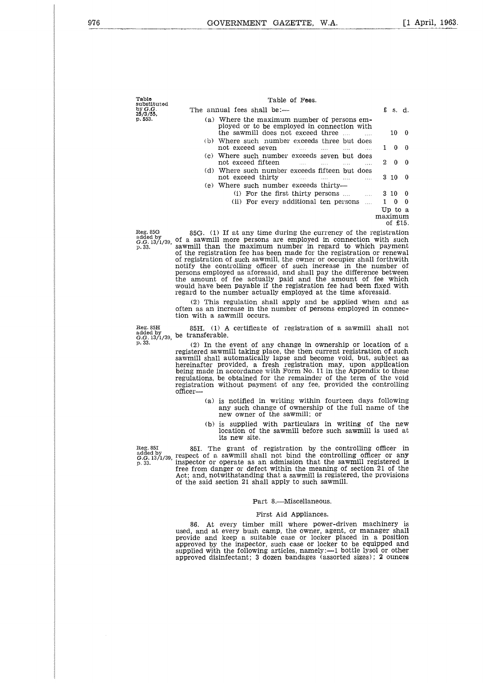| Table       |  |
|-------------|--|
| substituted |  |
| by G.G.     |  |
| 25/3/55.    |  |
| p. 553.     |  |

| อนมองเขนเธน<br>by G.G.                          | The annual fees shall be:—                                                                                                                                                                                                                                                |         | $f$ s.d.              |          |
|-------------------------------------------------|---------------------------------------------------------------------------------------------------------------------------------------------------------------------------------------------------------------------------------------------------------------------------|---------|-----------------------|----------|
| 25/3/55,<br>p. 553.                             | (a) Where the maximum number of persons em-<br>ployed or to be employed in connection with<br>the sawmill does not exceed three<br>$\sim$                                                                                                                                 |         | 10                    | - 0      |
|                                                 | (b) Where such number exceeds three but does<br>not exceed seven                                                                                                                                                                                                          | 1.      | 0                     | $\Omega$ |
|                                                 | (c) Where such number exceeds seven but does<br>not exceed fifteen<br>$\cdots$                                                                                                                                                                                            |         | 20                    | $\bf{0}$ |
|                                                 | (d) Where such number exceeds fifteen but does<br>not exceed thirty<br>$\ldots$<br>.                                                                                                                                                                                      |         | 3 10                  | 0        |
|                                                 | (e) Where such number exceeds thirty—<br>(i) For the first thirty persons<br>$\cdots$                                                                                                                                                                                     |         | 3 10 0                |          |
|                                                 | (ii) For every additional ten persons<br>$\ldots$                                                                                                                                                                                                                         |         | $\theta$              | $\Omega$ |
|                                                 |                                                                                                                                                                                                                                                                           | maximum | Up to a<br>of $£15$ . |          |
| Reg. 85G<br>added by<br>G.G. 13/1/39,<br>p. 33. | 85G. (1) If at any time during the currency of the registration<br>of a sawmill more persons are employed in connection with such<br>sawmill than the maximum number in regard to which payment<br>of the registration fee has been made for the registration or reported |         |                       |          |

added by<br>G.G. 13/1/39, of a sawmill more persons are employed in connection with such<br>p.33. sawmill than the maximum number in regard to which payment<br>of the registration fee has been made for the registration or renewal of registration of such sawmill, the owner or occupier shall forthwith notify the controlling officer of such increase in the number of persons employed as aforesaid, and shall pay the difference between the amount of fee actually paid and the amount of fee which would have been payable if the registration fee had been fixed with regard to the number actually employed at the time aforesaid. of the registration fee has been made for the registration or renewal<br>of registration of such sawmill, the owner or occupier shall forthwith<br>notify the controlling officer of such increase in the number of<br>persons employe

(2) This regulation shall apply and be applied when and as often as an increase in the number of persons employed in connection with a sawmill occurs.

added by<br>*G.G.* 13/1/39, be transferable. 85H. (1) A certificate of registration of a sawmill shall not ransferable.<br>(2) In the event of any change in ownership or location of a

registered sawmill taking place, the then current registration of such sawmill shall automatically lapse and become void, but, subject as hereinafter provided, a fresh registration may, upon application being made in accordance with Form No. 11 in the Appendix to these regulations, be obtained for the remainder of the term of the void registration without payment of any fee, provided the controlling officer

- (a) is notified in writing within fourteen days following any such change of ownership of the full name of the new owner of the sawmill; or
- (b) is supplied with particulars in writing of the new location of the sawmill before such sawmill is used at its new site.

Figure material and the controlling officer the separation by the controlling officer  $\sim$  (a) is notified in writing within fourteen days following any such change of ownership of the full name of the new owner of the sa added by<br>G.G. 13/1/39, respect of a sawmill shall not bind the controlling officer or any<br>G.G. 13/1/39, inspect of a sawmill shall not bind the controlling officer or any p.33. The grant of registration by the controlling officer or any such change of ownership of the full name of the new owner of the sawmill; or<br>  $\text{Re}g. 85I$  (b) is supplied with particulars in writing of the new locatio free from danger or defect within the meaning of section 21 of the Act; and, notwithstanding that a sawmill is registered, the provisions of the said section 21 shall apply to such sawmill.

#### Part 8.—Miscellaneous.

#### First Aid Appliances.

86. At every timber mill where power-driven machinery is used, and at every bush camp, the owner, agent, or manager shall provide and keep a suitable case or locker placed in a position approved by the inspector, such case or locker to be equipped and supplied with the following articles, namely:—1 bottle lysol or other approved disinfectant; 3 dozen bandages (assorted sizes) ; 2 ounces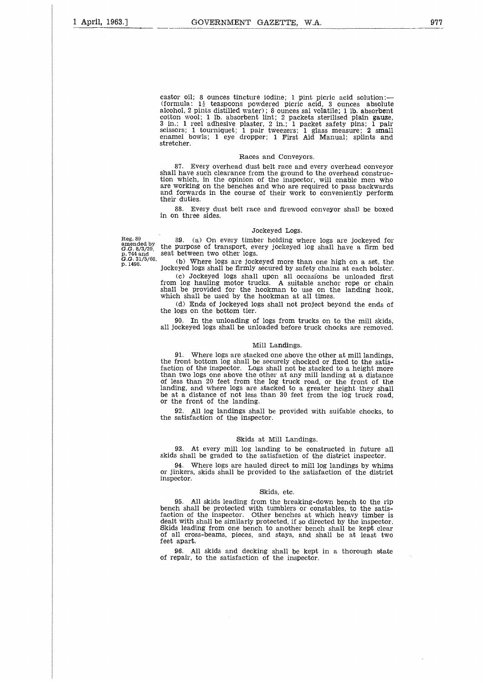castor oil; 8 ounces tincture iodine; 1 pint picric acid solution:-(formula:  $1\frac{1}{2}$  teaspoons powdered picric acid, 3 ounces absolute alcohol, 2 pints distilled water); 8 ounces sal volatile; 1 lb. absorbent<br>cotton wool; 1 lb. absorbent lint; 2 packets sterilised plain gauze,<br>3 in.; 1 reel adhesive plaster, 2 in.; 1 packet safety pins; 1 pair<br>scissors; 1 stretcher.

#### Races and Conveyors.

87. Every overhead dust belt race and every overhead conveyor shall have such clearance from the ground to the overhead construc-tion which, in the opinion of the inspector, will enable men who are working on the benches and who are required to pass backwards and forwards in the course of their work to conveniently perform their duties.

88. Every dust belt race and firewood conveyor shall be boxed in on three sides.

#### Jockeyed Logs.

Reg. 89 amended by G.G. 8/3/29, p. 744 and *G.G.* 31/5/60, p. 1498.

89. (a) On every timber holding where logs are jockeyed for the purpose of transport, every jockeyed log shall have a firm bed seat between two other logs.

(b) Where logs are jockeyed more than one high on a set, the jockeyed logs shall be firmly secured by safety chains at each bolster.

(c) Jockeyed logs shall upon all occasions be unloaded first from log hauling motor trucks. A suitable anchor rope or chain shall be provided for the hookman to use on the landing hook, which shall be used by the hookman at all times.

(d) Ends of jockeyed logs shall not project beyond the ends of the logs on the bottom tier.

90. In the unloading of logs from trucks on to the mill skids, all jockeyed logs shall be unloaded before truck chocks are removed.

#### Mill Landings.

91. Where logs are stacked one above the other at mill landings, the front bottom log shall be securely chocked or fixed to the satis-<br>faction of the inspector. Logs shall not be stacked to a height more than two logs one above the other at any mill landing at a distance of less than 20 feet from the log truck road, or the front of the landing, and where logs are stacked to a greater height they shall be at a distance of not less than 30 feet from the log truck road, or the front of the landing.

92. All log landings shall be provided with suitable chocks, to the satisfaction of the inspector.

#### Skids at Mill Landings.

93. At every mill log landing to be constructed in future all skids shall be graded to the satisfaction of the district inspector.

94. Where logs are hauled direct to mill log landings by whims or jinkers, skids shall be provided to the satisfaction of the district inspector.

#### Skids, etc.

95. All skids leading from the breaking-down bench to the rip bench shall be protected with tumblers or constables, to the satis-faction of the inspector. Other benches at which heavy timber is dealt with shall be similarly protected, if so directed by the inspector. Skids leading from one bench to another bench shall be kept clear of all cross-beams, pieces, and stays, and shall be at least two feet apart.

96. All skids and decking shall be kept in a thorough state of repair, to the satisfaction of the inspector.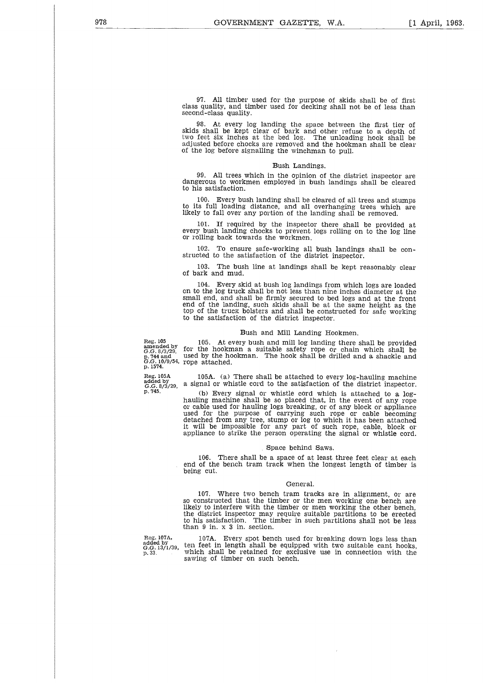97. All timber used for the purpose of skids shall be of first class quality, and timber used for decking shall not be of less than second-class quality.

At every log landing the space between the first tier of skids shall be kept clear of bark and other refuse to a depth of two feet Six inches at the bed log. The unloading hook shall be adjusted before chocks are removed and the hookman shall be clear of the log before signalling the winchman to pull.

#### Bush Landings.

99. All trees which in the opinion of the district inspector are dangerous to workmen employed in bush landings shall be cleared to his satisfaction.

100. Every bush landing shall be cleared of all trees and stumps to its full loading distance, and all overhanging trees which are likely to fall over any portion of the landing shall be removed.

101. If required by the inspector there shall be provided at every bush landing chocks to prevent logs rolling on to the log line or rolling back towards the workmen.

102. To ensure safe-working all bush landings shall be con-structed to the satisfaction of the district inspector.

103. The bush line at landings shall be kept reasonably clear of bark and mud.

104. Every skid at bush log landings from which logs are loaded on to the log truck shall be not less than nine inches diameter at the small end, and shall be firmly secured to bed logs and at the front end of the landing, such skids shall be at the same height as the top of the truck bolsters and shall be constructed for safe working to the satisfaction of the district inspector.

#### Bush and Mill Landing Hookmen.

105. At every bush and mill log landing there shall be provided

Reg.  $105$ <br>anended  $G.G. 8/3$ <br>c.  $744$  and<br>c.  $G. 10/6$ amended by for the hookman a suitable safety rope or chain which shall be<br>p. 744 and used by the hookman. The hook shall be drilled and a shackle and<br>*G.G.* 10/9/54, rope attached.<br>p. 1574.

Reg. 105A added by *G.G.* 8/3/29, p. 745.

105A. (a) There shall be attached to every log-hauling machine a signal or whistle cord to the satisfaction of the district inspector.

(b) Every signal or whistle cord which is attached to a loghauling machine shall be so placed that, in the event of any rope or cable used for hauling logs breaking, or of any block or appliance used for the purpose of carrying such rope or cable becoming detached from any tree, stump or log to which it has been attached it will be impossible for any part of such rope, cable, block or appliance to strike the person operating the signal or whistle cord.

#### Space behind Saws.

106. There shall be a space of at least three feet clear at each end of the bench tram track when the longest length of timber is being cut.

#### General.

107. Where two bench tram tracks are in alignment, or are so constructed that the timber or the men working one bench are likely to interfere with the timber or men working the other bench, the district inspector may require suitable partitions to be erected to his satisfaction. The timber in such partitions shall not be less than 9 in. x 3 in. section.

Reg. 107A, added by *G.G.* 13/1/39, p. 33.

107A. Every spot bench used for breaking down logs less than ten feet in length shall be equipped with two suitable cant hooks, which shall be retained for exclusive use in connection with the sawing of timber on such bench.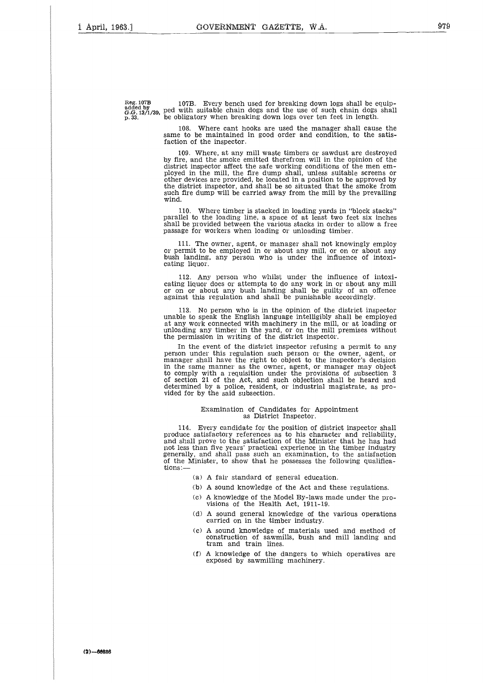**Reg. 107B added by** *G.G.* 13/1/39, **p. 33.**

107B. Every bench used for breaking down logs shall be equip-ped with suitable chain dogs and the use f such chain dogs shall be obligatory when breaking down logs over ten feet in length.

108. Where cant hooks are used the manager shall cause the same to be maintained in good order and condition, to the satisfaction of the inspector.

109. Where, at any mill waste timbers or sawdust are destroyed by fire, and the smoke emitted therefrom will in the opinion of the district inspector affect the safe working conditions of the men em-ployed in the mill, the fire dump shall, unless suitable screens or other devices are provided, be located in a position to be approved by the district inspector, and shall be so situated that the smoke from such fire dump will be carried away from the mill by the prevailing wind.

110. Where timber is stacked in loading yards in "block stacks" parallel to the loading line, a space of at least two feet six inches shall be provided between the various stacks in order to allow a free passage for workers when loading or unloading timber.

The owner, agent, or manager shall not knowingly employ or permit to be employed in or about any mill, or on or about any bush landing, any person who is under the influence of intoxicating liquor.

112. Any person who whilst under the influence of intoxicating liquor does or attempts to do any work in or about any mill or on or about any bush landing shall be guilty of an offence against this regulation and shall be punishable accordingly.

113. No person who is in the opinion of the district inspector unable to speak the English language intelligibly shall be employed at any work connected with machinery in the mill, or at loading or unloading any timber in the yard, or on the mill premises without the permission in writing of the district inspector.

In the event of the district inspector refusing a permit to any person under this regulation such person or the owner, agent, or manager shall have the right to object to the inspector's decision in the same manner as the owner, agent, or manager may object to comply with a requisition under the provisions of subsection 3 of section 21 of the Act, and such objection shall be heard and determined by a police, resident, or industrial magistrate, as provided for by the said subsection.

#### Examination of Candidates for Appointment as District Inspector.

114. Every candidate for the position of district inspector shall produce satisfactory references as to his character and reliability, and shall prove to the satisfaction of the Minister that he has had not less than five years' practical experience in the timber industry generally, and shall pass such an examination, to the satisfaction of the Minister, to show that he possesses the following qualifications:—

(a) A fair standard of general education.

- (b) A sound knowledge of the Act and these regulations.
- (c) A knowledge of the Model By-laws made under the provisions of the Health Act, 1911-19.
- (d) A sound general knowledge of the various operations carried on in the timber industry.
- (c) A sound knowledge of materials used and method of construction of sawmills, bush and mill landing and tram and train lines.
- (f) A knowledge of the dangers to which operatives are exposed by sawmilling machinery.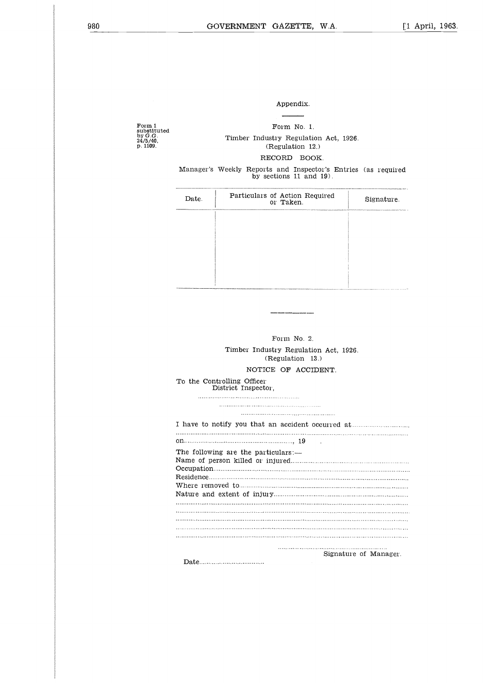#### Appendix.

Form 1 substituted by *G.G.* 24/5/40, p. 1109.

Form No. 1. Timber Industry Regulation Act, 1926. (Regulation 12.) RECORD BOOK. Appendix.<br>
Form No. 1.<br>
imber Industry Regulation Act<br>
(Regulation 12.)<br>
RECORD BOOK.<br>
Exty Reports and Inspector's E<br>
by sections 11 and 19).<br>
Particulars of Action Required<br>
or Taken.

Manager's Weekly Reports and Inspector's Entries (as required by sections 11 and 19).

| Date. | Particulars of Action Required<br>or Taken. | Signature. |
|-------|---------------------------------------------|------------|
|       |                                             |            |
|       |                                             |            |
|       |                                             |            |
|       |                                             |            |

| Form $No. 2$                                              |
|-----------------------------------------------------------|
| Timber Industry Regulation Act, 1926.<br>(Regulation 13.) |
| NOTICE OF ACCIDENT.                                       |
| To the Controlling Officer<br>District Inspector.         |
|                                                           |
|                                                           |
| I have to notify you that an accident occurred at         |
|                                                           |
| The following are the particulars:—                       |
|                                                           |
|                                                           |
|                                                           |
| Signature of Manager                                      |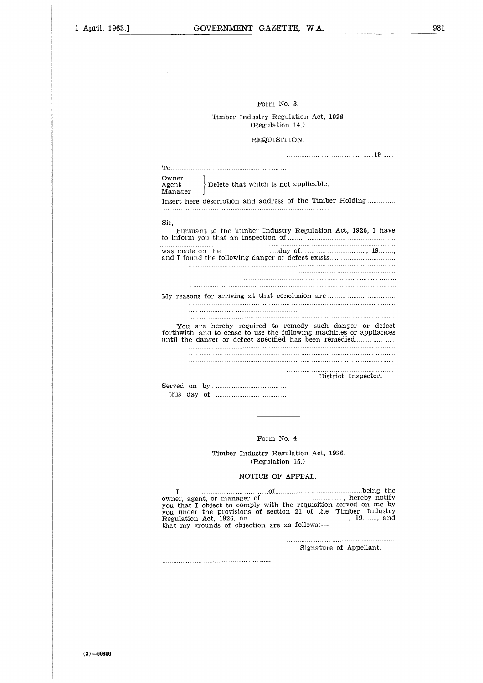#### Form No. 3.

#### Timber Industry Regulation Act, 1926 (Regulation 14.)

#### REQUISITION.

|                           | Form No. 3.                                                                                                                                                                              |
|---------------------------|------------------------------------------------------------------------------------------------------------------------------------------------------------------------------------------|
|                           | Timber Industry Regulation Act, 1926<br>(Regulation 14.)                                                                                                                                 |
|                           | REQUISITION.                                                                                                                                                                             |
|                           |                                                                                                                                                                                          |
|                           |                                                                                                                                                                                          |
| Owner<br>Agent<br>Manager | Delete that which is not applicable.                                                                                                                                                     |
|                           | Insert here description and address of the Timber Holding                                                                                                                                |
|                           |                                                                                                                                                                                          |
| Sir,                      |                                                                                                                                                                                          |
|                           | Pursuant to the Timber Industry Regulation Act, 1926, I have                                                                                                                             |
|                           |                                                                                                                                                                                          |
|                           |                                                                                                                                                                                          |
|                           |                                                                                                                                                                                          |
|                           |                                                                                                                                                                                          |
|                           |                                                                                                                                                                                          |
|                           | My reasons for arriving at that conclusion are                                                                                                                                           |
|                           |                                                                                                                                                                                          |
|                           |                                                                                                                                                                                          |
|                           | You are hereby required to remedy such danger or defect<br>forthwith, and to cease to use the following machines or appliances<br>until the danger or defect specified has been remedied |
|                           |                                                                                                                                                                                          |
|                           |                                                                                                                                                                                          |
|                           |                                                                                                                                                                                          |
|                           | District Inspector.                                                                                                                                                                      |
|                           |                                                                                                                                                                                          |
|                           |                                                                                                                                                                                          |
|                           |                                                                                                                                                                                          |
|                           |                                                                                                                                                                                          |

Form No. 4.

Timber Industry Regulation Act, 1926. (Regulation 15.)

#### NOTICE OF APPEAL.

I, of being the owner, agent, or manager of , hereby notify you that I object to comply with the requisition served on me by you under the provisions of section 21 of the Timber Industry Regulation Act, 1926, on , 19 , and that my grounds of objection are as follows:—

Signature of Appellant.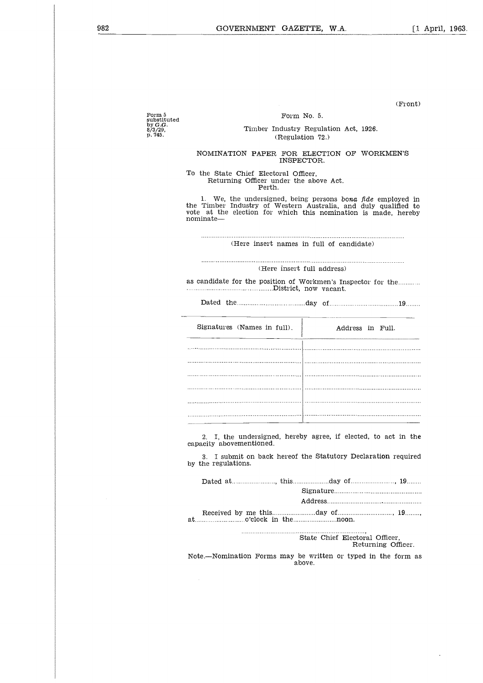(Front)

Form 5<br>substituted<br>by *G.G.*<br>8/3/29,<br>p. 745.

 $\overline{a}$ 

#### Form No. 5.

#### Timber Industry Regulation Act, 1926. (Regulation 72.)

#### NOMINATION PAPER FOR ELECTION OF WORKMEN'S INSPECTOR.

To the State Chief Electoral Officer, Returning Officer under the above Act. Perth.

1. We, the undersigned, being persons bona *fide* employed in the Timber Industry f Western Australia, and duly qualified to vote at the election for which this nomination is made, hereby nominate From Herrarian Charles and the Timber Industry of Western Australia, a<br>toote at the election for which this nominate—<br>communicate—<br>there insert names in full of cantern and the communication of the position of Workmen's In Timber Industry of Western Australia, and duly qualified<br>at the election for which this nomination is made, here<br>inate—<br>(Here insert names in full of candidate)<br>(Here insert full address)<br>andidate for the position of Workm

(Here insert names in full of candidate)

(Here insert full address)

as candidate for the position of Workmen's Inspector for the

| Signatures (Names in full).                     |  | Address in Full.                                                                                                                |  |  |
|-------------------------------------------------|--|---------------------------------------------------------------------------------------------------------------------------------|--|--|
|                                                 |  |                                                                                                                                 |  |  |
|                                                 |  |                                                                                                                                 |  |  |
|                                                 |  |                                                                                                                                 |  |  |
|                                                 |  |                                                                                                                                 |  |  |
|                                                 |  |                                                                                                                                 |  |  |
|                                                 |  |                                                                                                                                 |  |  |
| capacity abovementioned.<br>by the regulations. |  | 2. I, the undersigned, hereby agree, if elected, to act in the<br>3. I submit on back hereof the Statutory Declaration required |  |  |
|                                                 |  |                                                                                                                                 |  |  |

| 2. I, the undersigned, hereby agree, if elected, to act in the<br>capacity abovementioned. |
|--------------------------------------------------------------------------------------------|
| 3. I submit on back hereof the Statutory Declaration required<br>by the regulations.       |
|                                                                                            |
|                                                                                            |
| $at_{\ldots}$ o'clock in the $\ldots$ o'clock nearly $\ldots$                              |
| State Chief Electoral Officer,<br>Returning Officer.                                       |

Note.—Nomination Forms may be written or typed in the form as above.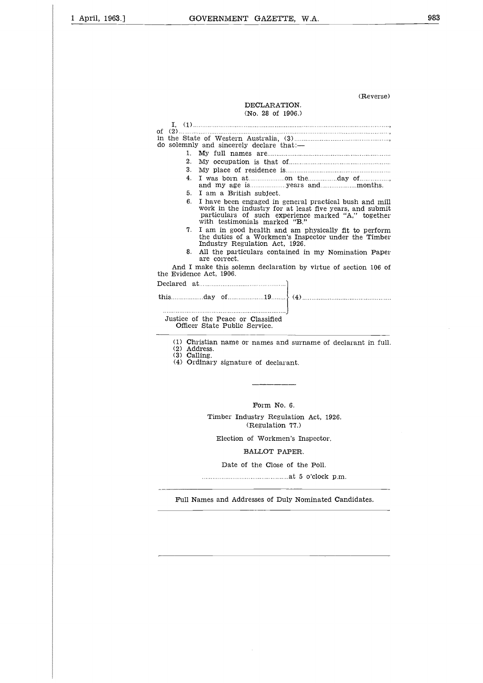#### (Reverse)

#### DECLARATION. (No. 28 of 1906.)

| (Reverse)<br>DECLARATION.                                                                                                                                                                                        |
|------------------------------------------------------------------------------------------------------------------------------------------------------------------------------------------------------------------|
| (No. 28 of 1906.)                                                                                                                                                                                                |
| Ι.<br>of<br>do solemnly and sincerely declare that:-                                                                                                                                                             |
| $1_{-}$                                                                                                                                                                                                          |
| 2.                                                                                                                                                                                                               |
| 3.                                                                                                                                                                                                               |
| 4.                                                                                                                                                                                                               |
| 5.<br>I am a British subject.                                                                                                                                                                                    |
| 6.<br>I have been engaged in general practical bush and mill<br>work in the industry for at least five years, and submit<br>particulars of such experience marked "A," together<br>with testimonials marked "B." |
| I am in good health and am physically fit to perform<br>7.<br>the duties of a Workmen's Inspector under the Timber<br>Industry Regulation Act, 1926.                                                             |
| All the particulars contained in my Nomination Paper<br>8.<br>are correct.                                                                                                                                       |
| And I make this solemn declaration by virtue of section 106 of<br>the Evidence Act, 1906.                                                                                                                        |
|                                                                                                                                                                                                                  |
| this $\text{day of} \quad \text{of} \quad \text{19} \quad \text{(4)}$                                                                                                                                            |
| Justice of the Peace or Classified<br>Officer State Public Service.                                                                                                                                              |
| (1) Christian name or names and surname of declarant in full.<br>(2) Address.                                                                                                                                    |

(3) Calling. (4) Ordinary signature of declarant.

Form No. 6.

Timber Industry Regulation Act, 1926. (Regulation 77.)

Election of Workmen's Inspector.

#### BALLOT PAPER.

Date of the Close of the Poll.

at 5 o'clock p.m.

..<br>..<br>n Full Names and Addresses of Duly Nominated Candidates.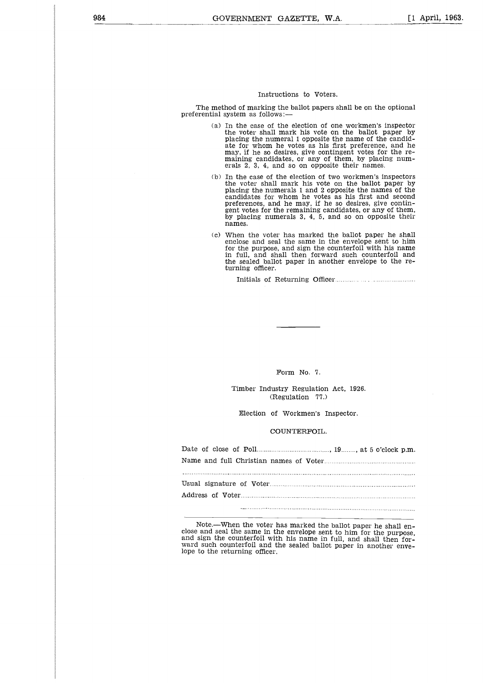#### Instructions to Voters.

The method of marking the ballot papers shall be on the optional preferential system as follows:

- (a) In the case of the election of one workmen's inspector the voter shall mark his vote on the ballot paper by placing the numeral 1 opposite the name of the candid-ate for whom he votes as his first preference, and he may, if he so desires, give contingent votes for the remaining candidates, or any of them, by placing numerals 2, 3, 4, and so on opposite their names.
- b) In the case of the election of two workmen's inspectors the voter shall mark his vote on the ballot paper by placing the numerals 1 and 2 opposite the names of the candidates for whom he votes as his first and second preferences, and he may, if he so desires, give contingent votes for the remaining candidates, or any of them, by placing numerals 3, 4, 5, and so on opposite their names. In the case of the election of two voter shall mark his vote of the election of the pumerals 1 and 2 opp didates for whom he votes at elemences, and he may, if he splacing numerals 3, 4, 5, and also and seal the same in th
- (c) When the voter has marked the ballot paper he shall enclose and seal the same in the envelope sent to him for the purpose, and sign the counterfoil with his name in full, and shall then forward such counterfoil and the sealed ballot paper in another envelope to the returning officer.

#### Form No. 7.

#### COUNTERFOIL.

| Form No. 7.                                               |
|-----------------------------------------------------------|
| Timber Industry Regulation Act, 1926.<br>(Regulation 77.) |
| Election of Workmen's Inspector.                          |
| COUNTERFOIL.                                              |
|                                                           |
|                                                           |
|                                                           |
|                                                           |
|                                                           |
|                                                           |

Note.—When the voter has marked the ballot paper he shall enclose and seal the same in the envelope sent to him for the purpose, and sign the counterfoil with his name in full, and shall then forward such counterfoil and the sealed ballot paper in another envelope to the returning officer.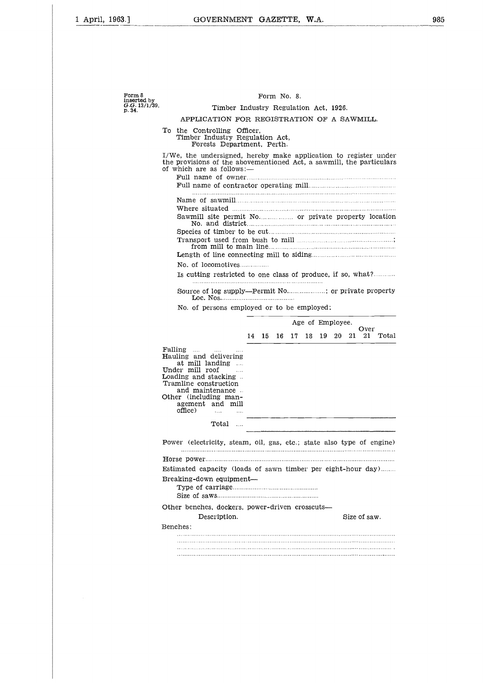| Form 8<br>inserted by   | Form No. 8.                                                                                                                                                                                                                                                    |  |  |  |  |  |  |  |  |
|-------------------------|----------------------------------------------------------------------------------------------------------------------------------------------------------------------------------------------------------------------------------------------------------------|--|--|--|--|--|--|--|--|
| G.G. 13/1/39,<br>p. 34. | Timber Industry Regulation Act, 1926.                                                                                                                                                                                                                          |  |  |  |  |  |  |  |  |
|                         | APPLICATION FOR REGISTRATION OF A SAWMILL.                                                                                                                                                                                                                     |  |  |  |  |  |  |  |  |
|                         | Tо<br>the Controlling Officer,<br>Timber Industry Regulation Act,<br>Forests Department, Perth.                                                                                                                                                                |  |  |  |  |  |  |  |  |
|                         | I/We, the undersigned, hereby make application to register under<br>the provisions of the abovementioned Act, a sawmill, the particulars<br>of which are as follows:—                                                                                          |  |  |  |  |  |  |  |  |
|                         |                                                                                                                                                                                                                                                                |  |  |  |  |  |  |  |  |
|                         |                                                                                                                                                                                                                                                                |  |  |  |  |  |  |  |  |
|                         |                                                                                                                                                                                                                                                                |  |  |  |  |  |  |  |  |
|                         |                                                                                                                                                                                                                                                                |  |  |  |  |  |  |  |  |
|                         |                                                                                                                                                                                                                                                                |  |  |  |  |  |  |  |  |
|                         |                                                                                                                                                                                                                                                                |  |  |  |  |  |  |  |  |
|                         | No. of locomotives                                                                                                                                                                                                                                             |  |  |  |  |  |  |  |  |
|                         | Is cutting restricted to one class of produce, if so, what?                                                                                                                                                                                                    |  |  |  |  |  |  |  |  |
|                         | Source of log supply—Permit No; or private property                                                                                                                                                                                                            |  |  |  |  |  |  |  |  |
|                         |                                                                                                                                                                                                                                                                |  |  |  |  |  |  |  |  |
|                         | No. of persons employed or to be employed:                                                                                                                                                                                                                     |  |  |  |  |  |  |  |  |
|                         | Age of Employee.<br>Over<br>14<br>15<br>17<br>19.<br>20<br>21<br>21.<br>Total<br>16<br>18                                                                                                                                                                      |  |  |  |  |  |  |  |  |
|                         | Falling<br><b>Sales</b><br>$\cdots$<br><b>Hauling and delivering</b><br>at mill landing<br>Under mill roof<br>Loading and stacking<br>Tramline construction<br>and maintenance<br>Other (including man-<br>agement and mill<br>office)<br>$\ldots$<br>$\cdots$ |  |  |  |  |  |  |  |  |
|                         | Total<br>$\ldots$                                                                                                                                                                                                                                              |  |  |  |  |  |  |  |  |
|                         |                                                                                                                                                                                                                                                                |  |  |  |  |  |  |  |  |
|                         | Power (electricity, steam, oil, gas, etc.; state also type of engine)                                                                                                                                                                                          |  |  |  |  |  |  |  |  |
|                         |                                                                                                                                                                                                                                                                |  |  |  |  |  |  |  |  |
|                         | Estimated capacity (loads of sawn timber per eight-hour day)                                                                                                                                                                                                   |  |  |  |  |  |  |  |  |
|                         | Breaking-down equipment-                                                                                                                                                                                                                                       |  |  |  |  |  |  |  |  |
|                         | Other benches, dockers, power-driven crosscuts-                                                                                                                                                                                                                |  |  |  |  |  |  |  |  |
|                         | Size of saw.<br>Description.                                                                                                                                                                                                                                   |  |  |  |  |  |  |  |  |
|                         | Benches:                                                                                                                                                                                                                                                       |  |  |  |  |  |  |  |  |
|                         |                                                                                                                                                                                                                                                                |  |  |  |  |  |  |  |  |
|                         |                                                                                                                                                                                                                                                                |  |  |  |  |  |  |  |  |
|                         |                                                                                                                                                                                                                                                                |  |  |  |  |  |  |  |  |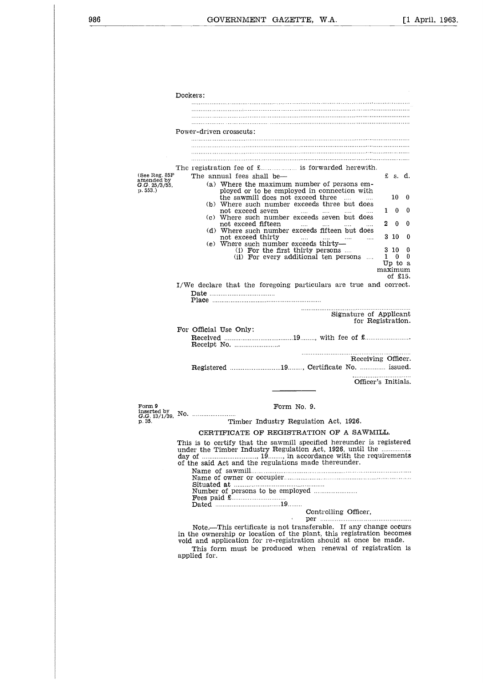Dockers: Power-driven crosscuts: (See Reg. 85F amended by *G.G.* 25/3/55, p. 553.) Dockers:<br>
Power-driven crosscuts:<br>
The registration fee of £ is forwarded herewith.<br>
The registration fee of £ is forwarded herewith.<br>
The annual fees shall be—<br>
(a) Where the maximum number of persons employed or to be em The annual fees shall be<br>the annual fees shall be—<br>the annual fees shall be—<br>the annual fees shall be—<br>the annual fees shall be—<br>the samill does not exceed three<br>the sammill does not exceed three<br>the sammill does not exce (a) Where the maximum number of persons employed or to be employed in connection with the sawmill does not exceed three (b) Where such number exceeds three but does not exceed seven .... (c) Where such number exceeds seven but does not exceed fifteen (d) Where such number exceeds fifteen but does not exceed thirty (e) Where such number exceeds thirty— (1) For the first thirty persons (ii) For every additional ten persons 1 0 0<br>
2 0 0<br>
3 10 0<br>
3 10 0<br>
1 0 0<br>
Up to a<br>
aximum maximum of £15. I/We declare that the foregoing particulars are true and correct. Date Place  $\begin{bmatrix} 1 \\ 2 \\ 3 \end{bmatrix}$  and  $\begin{bmatrix} 2 \\ 3 \\ 4 \end{bmatrix}$  10 0  $\pounds$  s. d.<br>10 0<br>1 0 0<br>2 0 0  $\begin{array}{ccc} \text{\pounds} & \text{s. d.} \ \text{10} & 0 \ \text{1} & 0 & 0 \ \text{2} & 0 & 0 \ \text{3} & 10 & 0 \ \end{array}$ 3 10 <sup>0</sup> 3 10 0 Signature of Applicant for Registration. For Official Use Only: not exceed thirty<br>
(e) Where such number exceeds thirty—<br>
(i) For the first thirty persons ....<br>
(ii) For every additional ten persons<br>
e declare that the foregoing particulars are true<br>
Date .............................. Receiving Officer. Registered 19 , Certificate No. issued. Officer's Initials. Form 9 Form No. 9. inserted by G.G. 13/1/39, No. p. 35. Timber Industry Regulation Act, 1926. CERTIFICATE OF REGISTRATION OF A SAWMILL. This is to certify that the sawmill specified hereunder is registered under the Timber Industry Regulation Act, 1926, until the day of of the said Act and the regulations made thereunder. Receiving Officer.<br>
ISLEND THE RECEIVING THE RECEIVING THE RECEIVING THE RECEIVING THE POST OF REGISTRATION OF A SAWMILL.<br>
Timber Industry Regulation Act, 1926.<br>
ERTIFICATE OF REGISTRATION OF A SAWMILL.<br>
to certify that th  $\frac{1}{2}$ <br> $\frac{1}{2}$ <br> $\frac{1}{2}$ <br> $\frac{1}{2}$ <br> $\frac{1}{2}$ <br> $\frac{1}{2}$ Name of sawmill Dated Fees paid £ 19 Name f owner or occupier Number of persons to be employed Situated at - F : 9 F : 17<br>- 9 F : 17<br>- 17<br>- 17<br>- 17 ..;<br>; ; y a ...<br>a .v r ...<br>... .r. *A*<br>.r. r. .r. r. *x*<br>... ... ... |-<br>| 11 || 11<br>| 11 || 11<br>| 11 || 11 63 illum - 16 ic Ciff<br>Addie<br>n Controlling Officer, in the ownership or location of the plant, this registration becomes Note.—This certificate is not transferable. If any change occurs ation<br>TION<br>ecified<br>ecified<br>addedition<br>contribution<br>of the steral<br>steral<br>lant, sh void and application for re-registration should at once be made.

This form must be produced when renewal of registration is applied for.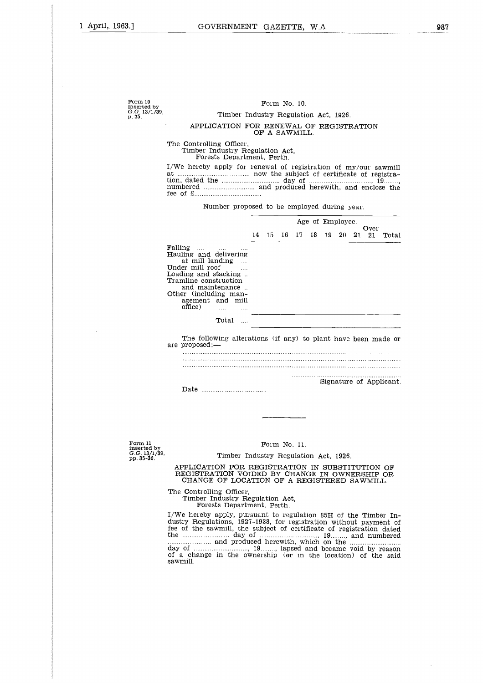| Form 10<br>inserted by<br>G.G. 13/1/39. | Form No. 10.<br>Timber Industry Regulation Act, 1926.                                                                                                                                                                                    |    |               |    |    |    |                  |    |     |      |                         |
|-----------------------------------------|------------------------------------------------------------------------------------------------------------------------------------------------------------------------------------------------------------------------------------------|----|---------------|----|----|----|------------------|----|-----|------|-------------------------|
| p. 35.                                  | APPLICATION FOR RENEWAL OF REGISTRATION                                                                                                                                                                                                  |    | OF A SAWMILL. |    |    |    |                  |    |     |      |                         |
|                                         | The Controlling Officer,<br>Timber Industry Regulation Act,<br>Forests Department, Perth.                                                                                                                                                |    |               |    |    |    |                  |    |     |      |                         |
|                                         | I/We hereby apply for renewal of registration of my/our sawmill<br>$\begin{array}{ccc} \text{free} & \text{of} & \text{E} \end{array}$                                                                                                   |    |               |    |    |    |                  |    |     |      |                         |
|                                         | Number proposed to be employed during year.                                                                                                                                                                                              |    |               |    |    |    |                  |    |     |      |                         |
|                                         |                                                                                                                                                                                                                                          |    |               |    |    |    | Age of Employee. |    |     | Over |                         |
|                                         |                                                                                                                                                                                                                                          | 14 | 15            | 16 | 17 | 18 | 19               | 20 | 21. | 21   | Total                   |
|                                         | Falling<br><b>Sales</b><br>Hauling and delivering<br>at mill landing<br>Under mill roof<br>Loading and stacking<br>Tramline construction<br>and maintenance<br>Other (including man-<br>agement and mill<br>office)<br>$\mathbf{1}$<br>. |    |               |    |    |    |                  |    |     |      |                         |
|                                         | Total<br>$\cdots$                                                                                                                                                                                                                        |    |               |    |    |    |                  |    |     |      |                         |
|                                         | The following alterations (if any) to plant have been made or<br>are proposed:—                                                                                                                                                          |    |               |    |    |    |                  |    |     |      |                         |
|                                         |                                                                                                                                                                                                                                          |    |               |    |    |    |                  |    |     |      |                         |
|                                         |                                                                                                                                                                                                                                          |    |               |    | .  |    |                  |    |     |      | Signature of Applicant. |
|                                         |                                                                                                                                                                                                                                          |    |               |    |    |    |                  |    |     |      |                         |

Form 11 inserted by G.G. 13/1/39, pp. 35-36.

#### Form No. 11.

#### Timber Industry Regulation Act, 1926.

APPLICATION FOR REGISTRATION IN SUBSTITUTION OF REGISTRATION VOIDED BY CHANGE IN OWNERSHIP OR CHANGE OF LOCATION OF A REGISTERED SAWMILL.

The Controlling Officer, Timber Industry Regulation Act,

Forests Department, Perth.

I/We hereby apply, pursuant to regulation 85H of the Timber Industry Regulations, 1927-1938, for registration without payment of fee of the sawmill, the subject of certificate of registration dated the T<br>Idd<br>iddo<br>sa FORM No. 11.<br>
Timber Industry Regulation Act, 1926.<br>
PLICATION FOR REGISTRATION IN SUBSTITUTION OF<br>
EGISTRATION VOIDED BY CHANGE IN OWNERSHIP OR<br>
CHANGE OF LOCATION OF A REGISTERED SAWMILL.<br>
Controlling Officer,<br>
Timber In day of of a change in the ownership IC<br>A duk<br>al duk<br>al duk and produced herewith, which on the REGISTRATION IN SUBSTITUTION OF<br>IDED BY CHANGE IN OWNERSHIP OR<br>ATION OF A REGISTERED SAWMILL.<br>
,<br>
,<br>
,<br>
,<br>
,<br>
,<br>
suant to regulation 85H of the Timber In-<br>
19.338, for registration without payment of<br>
, 19................. of a change in the ownership (or in the location) of the said<br>sawmill. コトS<br>huisa<br>v )